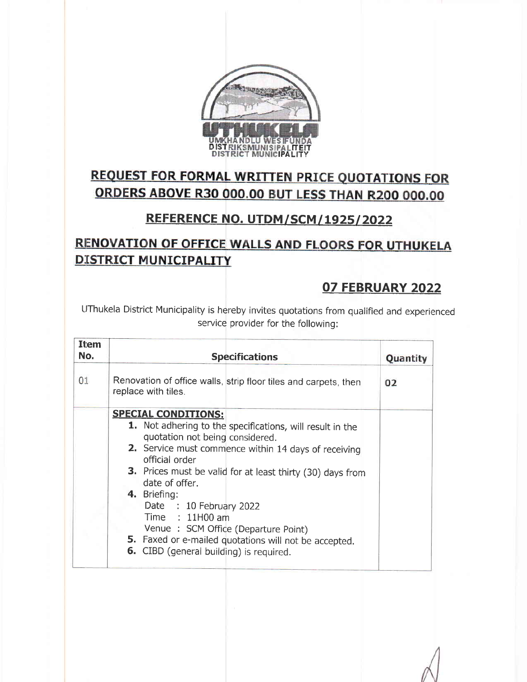

# **REQUEST FOR FORMAL WRITTEN PRICE QUOTATIONS FOR** ORDERS ABOVE R30 000.00 BUT LESS THAN R200 000.00

### BEFERENCE NO. UTDM /SCM / 1925 / 2022

## RENOVATION OF OFFICE WALLS AND FLOORS FOR UTHUKELA **DISTRICT MUNICIPALITY**

## 07 FEBRUARY 2022

LlThukela District Municipality is hereby invites quotations from qualified and experienced service provider for the following:

| <b>Item</b><br>No. | <b>Specifications</b>                                                                            | Quantity |
|--------------------|--------------------------------------------------------------------------------------------------|----------|
| 01                 | Renovation of office walls, strip floor tiles and carpets, then<br>replace with tiles.           | 02       |
|                    | <b>SPECIAL CONDITIONS:</b>                                                                       |          |
|                    | 1. Not adhering to the specifications, will result in the                                        |          |
|                    | quotation not being considered.                                                                  |          |
|                    | 2. Service must commence within 14 days of receiving<br>official order                           |          |
|                    | 3. Prices must be valid for at least thirty (30) days from<br>date of offer.                     |          |
|                    | 4. Briefing:                                                                                     |          |
|                    | Date : 10 February 2022<br>Time: 11H00 am                                                        |          |
|                    | Venue : SCM Office (Departure Point)                                                             |          |
|                    | 5. Faxed or e-mailed quotations will not be accepted.<br>6. CIBD (general building) is required. |          |
|                    |                                                                                                  |          |